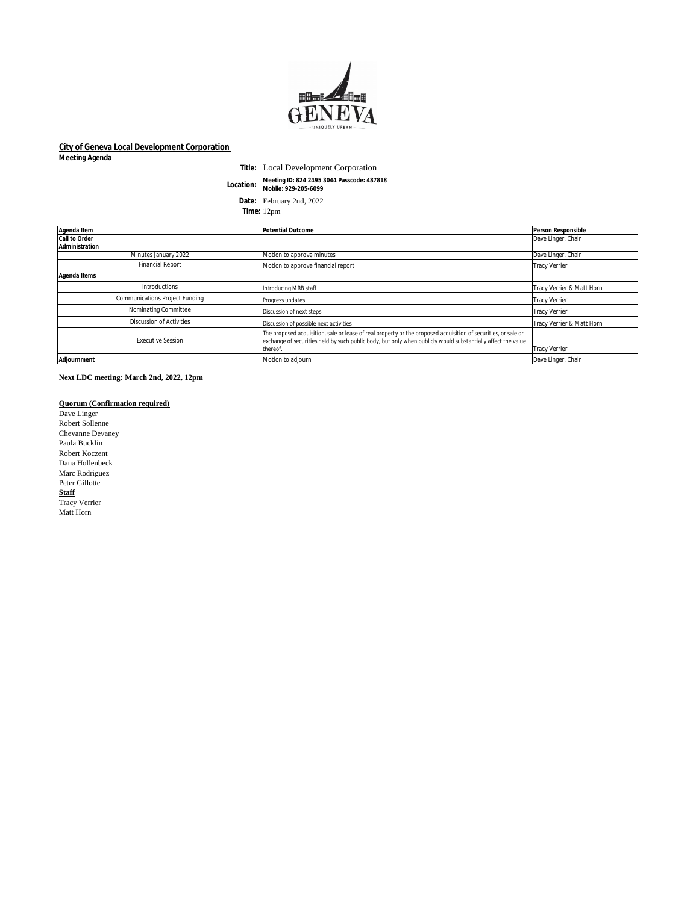

## **City of Geneva Local Development Corporation**

**Meeting Agenda**

**Title:** Local Development Corporation **Location: Meeting ID: 824 2495 3044 Passcode: 487818 Mobile: 929-205-6099**

**Date:** February 2nd, 2022 **Time:** 12pm

| Agenda Item                           | <b>Potential Outcome</b>                                                                                                                                                                                                                   | <b>Person Responsible</b> |
|---------------------------------------|--------------------------------------------------------------------------------------------------------------------------------------------------------------------------------------------------------------------------------------------|---------------------------|
| <b>Call to Order</b>                  |                                                                                                                                                                                                                                            | Dave Linger, Chair        |
| <b>Administration</b>                 |                                                                                                                                                                                                                                            |                           |
| Minutes January 2022                  | Motion to approve minutes                                                                                                                                                                                                                  | Dave Linger, Chair        |
| <b>Financial Report</b>               | Motion to approve financial report                                                                                                                                                                                                         | <b>Tracy Verrier</b>      |
| <b>Agenda Items</b>                   |                                                                                                                                                                                                                                            |                           |
| Introductions                         | Introducing MRB staff                                                                                                                                                                                                                      | Tracy Verrier & Matt Horn |
| <b>Communications Project Funding</b> | Progress updates                                                                                                                                                                                                                           | <b>Tracy Verrier</b>      |
| Nominating Committee                  | Discussion of next steps                                                                                                                                                                                                                   | <b>Tracy Verrier</b>      |
| <b>Discussion of Activities</b>       | Discussion of possible next activities                                                                                                                                                                                                     | Tracy Verrier & Matt Horn |
| <b>Executive Session</b>              | The proposed acquisition, sale or lease of real property or the proposed acquisition of securities, or sale or<br>exchange of securities held by such public body, but only when publicly would substantially affect the value<br>thereof. | <b>Tracy Verrier</b>      |
| <b>Adjournment</b>                    | Motion to adjourn                                                                                                                                                                                                                          | Dave Linger, Chair        |

**Next LDC meeting: March 2nd, 2022, 12pm** 

## **Quorum (Confirmation required)**

Dave Linger Robert Sollenne Chevanne Devaney Paula Bucklin Robert Koczent Dana Hollenbeck Marc Rodriguez Peter Gillotte **Staff** Tracy Verrier Matt Horn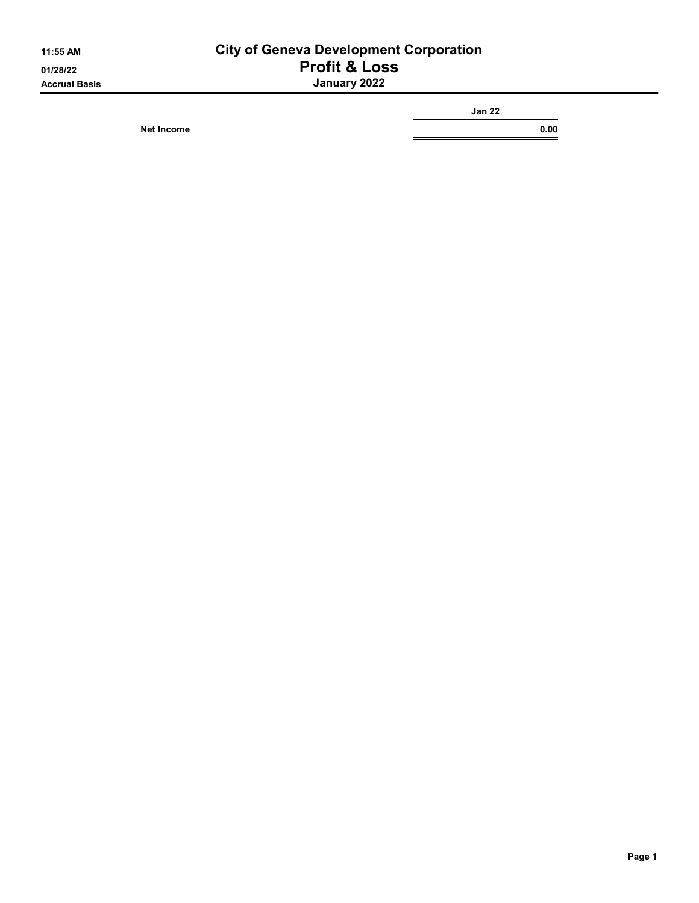## 11:55 AM City of Geneva Development Corporation 01/28/22 **Profit & Loss** Accrual Basis January 2022

Net Income 0.00

Jan 22

Ξ